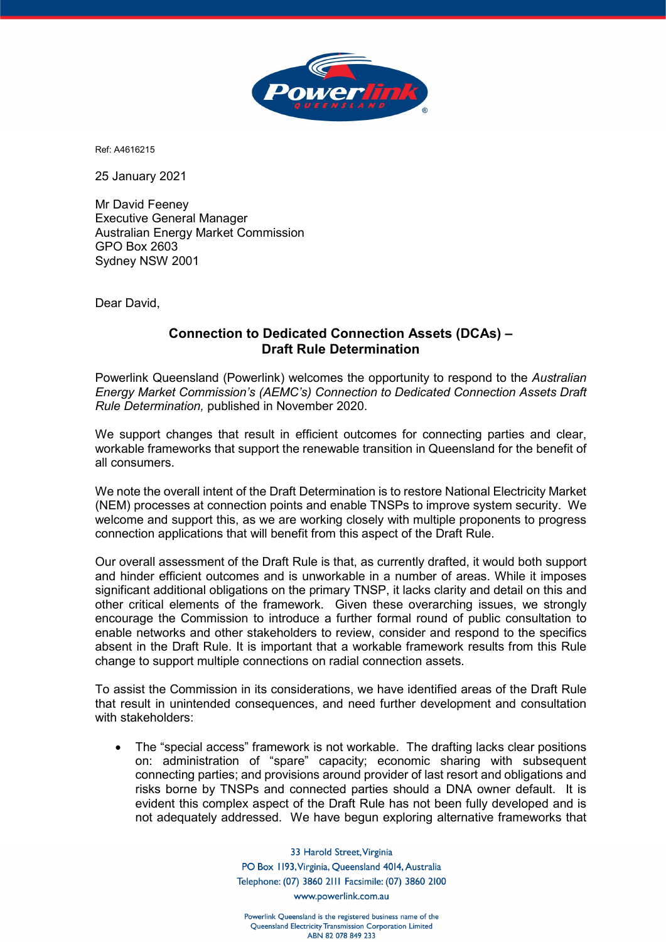

Ref: A4616215

25 January 2021

Mr David Feeney Executive General Manager Australian Energy Market Commission GPO Box 2603 Sydney NSW 2001

Dear David,

## **Connection to Dedicated Connection Assets (DCAs) – Draft Rule Determination**

Powerlink Queensland (Powerlink) welcomes the opportunity to respond to the *Australian Energy Market Commission's (AEMC's) Connection to Dedicated Connection Assets Draft Rule Determination,* published in November 2020.

We support changes that result in efficient outcomes for connecting parties and clear, workable frameworks that support the renewable transition in Queensland for the benefit of all consumers.

We note the overall intent of the Draft Determination is to restore National Electricity Market (NEM) processes at connection points and enable TNSPs to improve system security. We welcome and support this, as we are working closely with multiple proponents to progress connection applications that will benefit from this aspect of the Draft Rule.

Our overall assessment of the Draft Rule is that, as currently drafted, it would both support and hinder efficient outcomes and is unworkable in a number of areas. While it imposes significant additional obligations on the primary TNSP, it lacks clarity and detail on this and other critical elements of the framework. Given these overarching issues, we strongly encourage the Commission to introduce a further formal round of public consultation to enable networks and other stakeholders to review, consider and respond to the specifics absent in the Draft Rule. It is important that a workable framework results from this Rule change to support multiple connections on radial connection assets.

To assist the Commission in its considerations, we have identified areas of the Draft Rule that result in unintended consequences, and need further development and consultation with stakeholders:

• The "special access" framework is not workable. The drafting lacks clear positions on: administration of "spare" capacity; economic sharing with subsequent connecting parties; and provisions around provider of last resort and obligations and risks borne by TNSPs and connected parties should a DNA owner default. It is evident this complex aspect of the Draft Rule has not been fully developed and is not adequately addressed. We have begun exploring alternative frameworks that

> 33 Harold Street, Virginia PO Box 1193, Virginia, Queensland 4014, Australia Telephone: (07) 3860 2111 Facsimile: (07) 3860 2100 www.powerlink.com.au